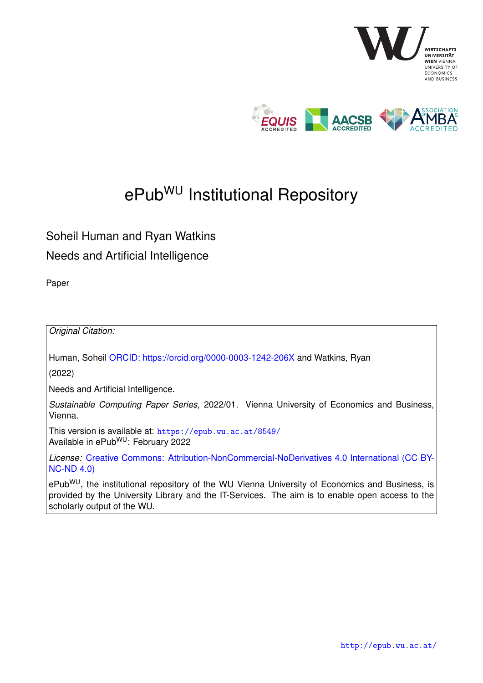

# ePub<sup>WU</sup> Institutional Repository

## Soheil Human and Ryan Watkins Needs and Artificial Intelligence

Paper

*Original Citation:*

Human, Soheil [ORCID: https://orcid.org/0000-0003-1242-206X](https://orcid.org/0000-0003-1242-206X) and Watkins, Ryan

(2022)

Needs and Artificial Intelligence.

*Sustainable Computing Paper Series*, 2022/01. Vienna University of Economics and Business, Vienna.

This version is available at: <https://epub.wu.ac.at/8549/> Available in ePubWU: February 2022

*License:* [Creative Commons: Attribution-NonCommercial-NoDerivatives 4.0 International \(CC BY-](https://creativecommons.org/licenses/by-nc-nd/4.0/deed.en)[NC-ND 4.0\)](https://creativecommons.org/licenses/by-nc-nd/4.0/deed.en)

ePub<sup>WU</sup>, the institutional repository of the WU Vienna University of Economics and Business, is provided by the University Library and the IT-Services. The aim is to enable open access to the scholarly output of the WU.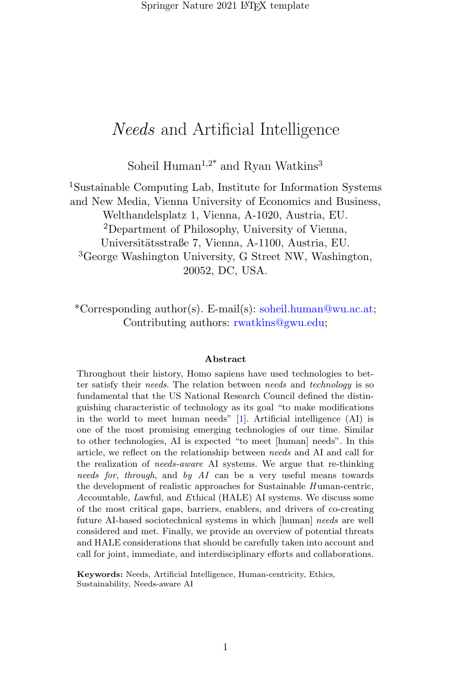Soheil Human<sup>1,2\*</sup> and Ryan Watkins<sup>3</sup>

<sup>1</sup>Sustainable Computing Lab, Institute for Information Systems and New Media, Vienna University of Economics and Business, Welthandelsplatz 1, Vienna, A-1020, Austria, EU. <sup>2</sup>Department of Philosophy, University of Vienna, Universitätsstraße 7, Vienna, A-1100, Austria, EU. <sup>3</sup>George Washington University, G Street NW, Washington, 20052, DC, USA.

\*Corresponding author(s). E-mail(s): soheil.human@wu.ac.at; Contributing authors: rwatkins@gwu.edu;

#### Abstract

Throughout their history, Homo sapiens have used technologies to better satisfy their needs. The relation between needs and technology is so fundamental that the US National Research Council defined the distinguishing characteristic of technology as its goal "to make modifications in the world to meet human needs" [\[1\]](#page-26-0). Artificial intelligence (AI) is one of the most promising emerging technologies of our time. Similar to other technologies, AI is expected "to meet [human] needs". In this article, we reflect on the relationship between needs and AI and call for the realization of needs-aware AI systems. We argue that re-thinking needs for, through, and by AI can be a very useful means towards the development of realistic approaches for Sustainable  $H$  uman-centric, Accountable, Lawful, and Ethical (HALE) AI systems. We discuss some of the most critical gaps, barriers, enablers, and drivers of co-creating future AI-based sociotechnical systems in which [human] needs are well considered and met. Finally, we provide an overview of potential threats and HALE considerations that should be carefully taken into account and call for joint, immediate, and interdisciplinary efforts and collaborations.

Keywords: Needs, Artificial Intelligence, Human-centricity, Ethics, Sustainability, Needs-aware AI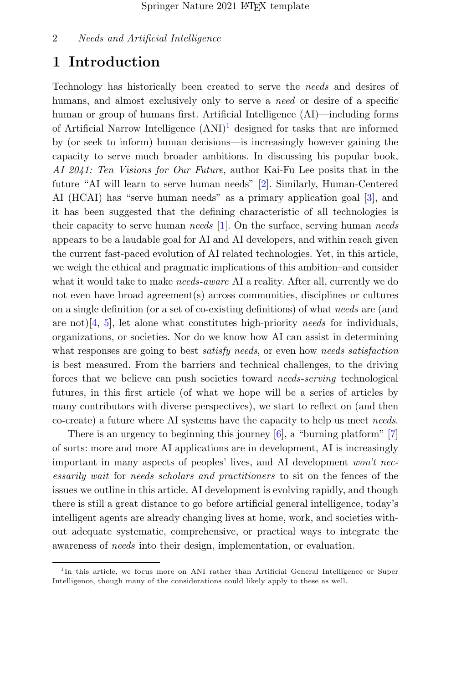## 1 Introduction

Technology has historically been created to serve the needs and desires of humans, and almost exclusively only to serve a *need* or desire of a specific human or group of humans first. Artificial Intelligence (AI)—including forms of Artificial Narrow Intelligence  $(ANI)^1$  $(ANI)^1$  designed for tasks that are informed by (or seek to inform) human decisions—is increasingly however gaining the capacity to serve much broader ambitions. In discussing his popular book, AI 2041: Ten Visions for Our Future, author Kai-Fu Lee posits that in the future "AI will learn to serve human needs" [\[2\]](#page-26-1). Similarly, Human-Centered AI (HCAI) has "serve human needs" as a primary application goal [\[3\]](#page-26-2), and it has been suggested that the defining characteristic of all technologies is their capacity to serve human needs  $[1]$ . On the surface, serving human needs appears to be a laudable goal for AI and AI developers, and within reach given the current fast-paced evolution of AI related technologies. Yet, in this article, we weigh the ethical and pragmatic implications of this ambition–and consider what it would take to make *needs-aware* AI a reality. After all, currently we do not even have broad agreement(s) across communities, disciplines or cultures on a single definition (or a set of co-existing definitions) of what needs are (and are not)[\[4,](#page-26-3) [5\]](#page-26-4), let alone what constitutes high-priority needs for individuals, organizations, or societies. Nor do we know how AI can assist in determining what responses are going to best *satisfy needs*, or even how *needs satisfaction* is best measured. From the barriers and technical challenges, to the driving forces that we believe can push societies toward needs-serving technological futures, in this first article (of what we hope will be a series of articles by many contributors with diverse perspectives), we start to reflect on (and then co-create) a future where AI systems have the capacity to help us meet needs.

There is an urgency to beginning this journey [\[6\]](#page-26-5), a "burning platform" [\[7\]](#page-26-6) of sorts: more and more AI applications are in development, AI is increasingly important in many aspects of peoples' lives, and AI development won't necessarily wait for needs scholars and practitioners to sit on the fences of the issues we outline in this article. AI development is evolving rapidly, and though there is still a great distance to go before artificial general intelligence, today's intelligent agents are already changing lives at home, work, and societies without adequate systematic, comprehensive, or practical ways to integrate the awareness of needs into their design, implementation, or evaluation.

<span id="page-2-0"></span><sup>&</sup>lt;sup>1</sup>In this article, we focus more on ANI rather than Artificial General Intelligence or Super Intelligence, though many of the considerations could likely apply to these as well.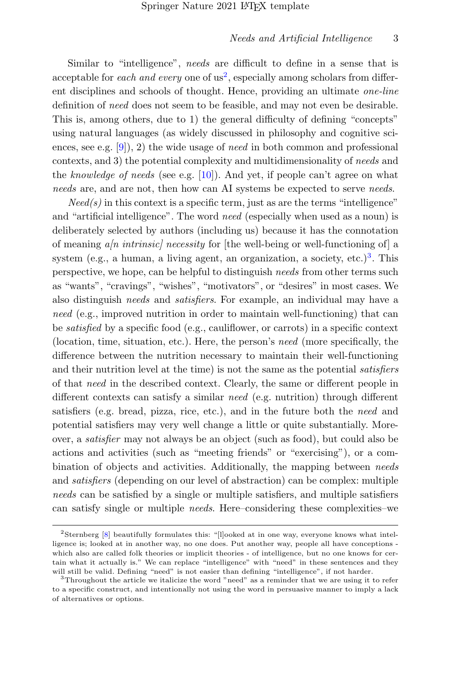Similar to "intelligence", needs are difficult to define in a sense that is acceptable for *each and every* one of  $us^2$  $us^2$ , especially among scholars from different disciplines and schools of thought. Hence, providing an ultimate one-line definition of need does not seem to be feasible, and may not even be desirable. This is, among others, due to 1) the general difficulty of defining "concepts" using natural languages (as widely discussed in philosophy and cognitive sciences, see e.g.  $[9]$ , 2) the wide usage of *need* in both common and professional contexts, and 3) the potential complexity and multidimensionality of needs and the knowledge of needs (see e.g.  $[10]$ ). And yet, if people can't agree on what needs are, and are not, then how can AI systems be expected to serve needs.

 $Need(s)$  in this context is a specific term, just as are the terms "intelligence" and "artificial intelligence". The word need (especially when used as a noun) is deliberately selected by authors (including us) because it has the connotation of meaning  $a/n$  intrinsic/ necessity for [the well-being or well-functioning of] a system (e.g., a human, a living agent, an organization, a society, etc.)<sup>[3](#page-3-1)</sup>. This perspective, we hope, can be helpful to distinguish needs from other terms such as "wants", "cravings", "wishes", "motivators", or "desires" in most cases. We also distinguish needs and satisfiers. For example, an individual may have a need (e.g., improved nutrition in order to maintain well-functioning) that can be satisfied by a specific food (e.g., cauliflower, or carrots) in a specific context (location, time, situation, etc.). Here, the person's need (more specifically, the difference between the nutrition necessary to maintain their well-functioning and their nutrition level at the time) is not the same as the potential satisfiers of that need in the described context. Clearly, the same or different people in different contexts can satisfy a similar need (e.g. nutrition) through different satisfiers (e.g. bread, pizza, rice, etc.), and in the future both the need and potential satisfiers may very well change a little or quite substantially. Moreover, a satisfier may not always be an object (such as food), but could also be actions and activities (such as "meeting friends" or "exercising"), or a combination of objects and activities. Additionally, the mapping between needs and satisfiers (depending on our level of abstraction) can be complex: multiple needs can be satisfied by a single or multiple satisfiers, and multiple satisfiers can satisfy single or multiple needs. Here–considering these complexities–we

<span id="page-3-0"></span><sup>2</sup>Sternberg [\[8\]](#page-26-9) beautifully formulates this: "[l]ooked at in one way, everyone knows what intelligence is; looked at in another way, no one does. Put another way, people all have conceptions which also are called folk theories or implicit theories - of intelligence, but no one knows for certain what it actually is." We can replace "intelligence" with "need" in these sentences and they will still be valid. Defining "need" is not easier than defining "intelligence", if not harder.

<span id="page-3-1"></span><sup>3</sup>Throughout the article we italicize the word "need" as a reminder that we are using it to refer to a specific construct, and intentionally not using the word in persuasive manner to imply a lack of alternatives or options.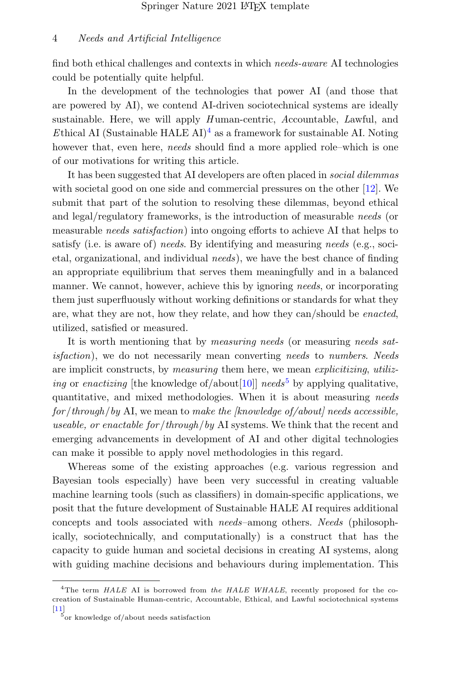find both ethical challenges and contexts in which needs-aware AI technologies could be potentially quite helpful.

In the development of the technologies that power AI (and those that are powered by AI), we contend AI-driven sociotechnical systems are ideally sustainable. Here, we will apply  $H$  uman-centric,  $A$ ccountable,  $L$ awful, and Ethical AI (Sustainable HALE AI)<sup>[4](#page-4-0)</sup> as a framework for sustainable AI. Noting however that, even here, needs should find a more applied role–which is one of our motivations for writing this article.

It has been suggested that AI developers are often placed in *social dilemmas* with societal good on one side and commercial pressures on the other [\[12\]](#page-27-0). We submit that part of the solution to resolving these dilemmas, beyond ethical and legal/regulatory frameworks, is the introduction of measurable needs (or measurable needs satisfaction) into ongoing efforts to achieve AI that helps to satisfy (i.e. is aware of) needs. By identifying and measuring needs (e.g., societal, organizational, and individual needs), we have the best chance of finding an appropriate equilibrium that serves them meaningfully and in a balanced manner. We cannot, however, achieve this by ignoring needs, or incorporating them just superfluously without working definitions or standards for what they are, what they are not, how they relate, and how they can/should be enacted, utilized, satisfied or measured.

It is worth mentioning that by *measuring needs* (or measuring *needs sat*isfaction), we do not necessarily mean converting needs to numbers. Needs are implicit constructs, by measuring them here, we mean explicitizing, utiliz-ing or enactizing [the knowledge of/about[\[10\]](#page-26-8)] needs<sup>[5](#page-4-1)</sup> by applying qualitative, quantitative, and mixed methodologies. When it is about measuring needs  $for/through/by$  AI, we mean to make the [knowledge of/about] needs accessible, useable, or enactable for/through/by AI systems. We think that the recent and emerging advancements in development of AI and other digital technologies can make it possible to apply novel methodologies in this regard.

Whereas some of the existing approaches (e.g. various regression and Bayesian tools especially) have been very successful in creating valuable machine learning tools (such as classifiers) in domain-specific applications, we posit that the future development of Sustainable HALE AI requires additional concepts and tools associated with needs–among others. Needs (philosophically, sociotechnically, and computationally) is a construct that has the capacity to guide human and societal decisions in creating AI systems, along with guiding machine decisions and behaviours during implementation. This

<span id="page-4-0"></span><sup>&</sup>lt;sup>4</sup>The term  $HALE$  AI is borrowed from the  $HALE$  WHALE, recently proposed for the cocreation of Sustainable Human-centric, Accountable, Ethical, and Lawful sociotechnical systems

<span id="page-4-1"></span>[<sup>\[11\]</sup>](#page-27-1) 5 or knowledge of/about needs satisfaction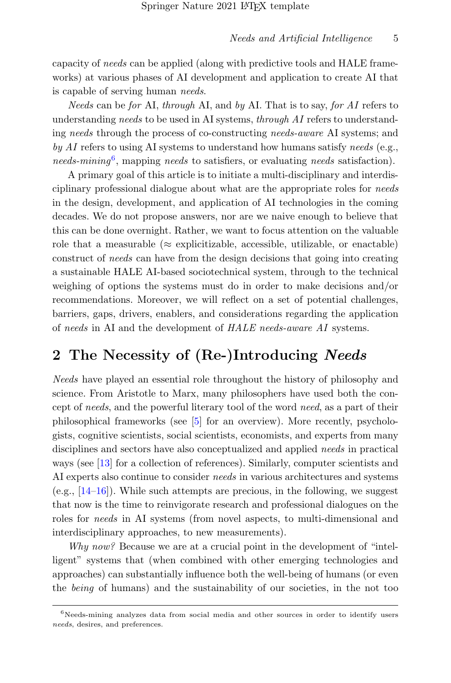capacity of needs can be applied (along with predictive tools and HALE frameworks) at various phases of AI development and application to create AI that is capable of serving human needs.

Needs can be for AI, through AI, and by AI. That is to say, for AI refers to understanding needs to be used in AI systems, through AI refers to understanding needs through the process of co-constructing needs-aware AI systems; and by AI refers to using AI systems to understand how humans satisfy needs (e.g., needs-mining<sup>[6](#page-5-0)</sup>, mapping needs to satisfiers, or evaluating needs satisfaction).

A primary goal of this article is to initiate a multi-disciplinary and interdisciplinary professional dialogue about what are the appropriate roles for needs in the design, development, and application of AI technologies in the coming decades. We do not propose answers, nor are we naive enough to believe that this can be done overnight. Rather, we want to focus attention on the valuable role that a measurable ( $\approx$  explicitizable, accessible, utilizable, or enactable) construct of needs can have from the design decisions that going into creating a sustainable HALE AI-based sociotechnical system, through to the technical weighing of options the systems must do in order to make decisions and/or recommendations. Moreover, we will reflect on a set of potential challenges, barriers, gaps, drivers, enablers, and considerations regarding the application of needs in AI and the development of HALE needs-aware AI systems.

## 2 The Necessity of (Re-)Introducing Needs

Needs have played an essential role throughout the history of philosophy and science. From Aristotle to Marx, many philosophers have used both the concept of needs, and the powerful literary tool of the word need, as a part of their philosophical frameworks (see [\[5\]](#page-26-4) for an overview). More recently, psychologists, cognitive scientists, social scientists, economists, and experts from many disciplines and sectors have also conceptualized and applied needs in practical ways (see [\[13\]](#page-27-2) for a collection of references). Similarly, computer scientists and AI experts also continue to consider needs in various architectures and systems (e.g.,  $[14-16]$  $[14-16]$ ). While such attempts are precious, in the following, we suggest that now is the time to reinvigorate research and professional dialogues on the roles for *needs* in AI systems (from novel aspects, to multi-dimensional and interdisciplinary approaches, to new measurements).

Why now? Because we are at a crucial point in the development of "intelligent" systems that (when combined with other emerging technologies and approaches) can substantially influence both the well-being of humans (or even the being of humans) and the sustainability of our societies, in the not too

<span id="page-5-0"></span> $6$ Needs-mining analyzes data from social media and other sources in order to identify users needs, desires, and preferences.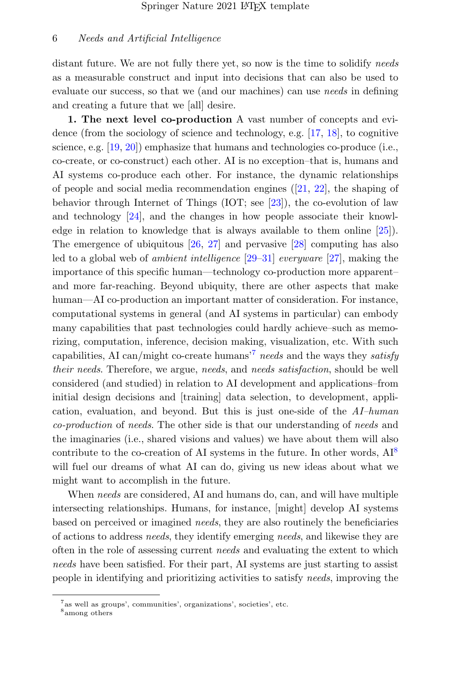distant future. We are not fully there yet, so now is the time to solidify needs as a measurable construct and input into decisions that can also be used to evaluate our success, so that we (and our machines) can use *needs* in defining and creating a future that we [all] desire.

1. The next level co-production A vast number of concepts and evidence (from the sociology of science and technology, e.g. [\[17,](#page-27-5) [18\]](#page-27-6), to cognitive science, e.g.  $[19, 20]$  $[19, 20]$  $[19, 20]$  emphasize that humans and technologies co-produce (i.e., co-create, or co-construct) each other. AI is no exception–that is, humans and AI systems co-produce each other. For instance, the dynamic relationships of people and social media recommendation engines  $(21, 22)$ , the shaping of behavior through Internet of Things (IOT; see [\[23\]](#page-28-0)), the co-evolution of law and technology [\[24\]](#page-28-1), and the changes in how people associate their knowledge in relation to knowledge that is always available to them online [\[25\]](#page-28-2)). The emergence of ubiquitous [\[26,](#page-28-3) [27\]](#page-28-4) and pervasive [\[28\]](#page-28-5) computing has also led to a global web of ambient intelligence [\[29–](#page-28-6)[31\]](#page-28-7) everyware [\[27\]](#page-28-4), making the importance of this specific human—technology co-production more apparent– and more far-reaching. Beyond ubiquity, there are other aspects that make human—AI co-production an important matter of consideration. For instance, computational systems in general (and AI systems in particular) can embody many capabilities that past technologies could hardly achieve–such as memorizing, computation, inference, decision making, visualization, etc. With such capabilities, AI can/might co-create humans<sup>'[7](#page-6-0)</sup> needs and the ways they satisfy their needs. Therefore, we argue, needs, and needs satisfaction, should be well considered (and studied) in relation to AI development and applications–from initial design decisions and [training] data selection, to development, application, evaluation, and beyond. But this is just one-side of the AI–human co-production of needs. The other side is that our understanding of needs and the imaginaries (i.e., shared visions and values) we have about them will also contribute to the co-creation of AI systems in the future. In other words,  $AI^8$  $AI^8$ will fuel our dreams of what AI can do, giving us new ideas about what we might want to accomplish in the future.

When needs are considered, AI and humans do, can, and will have multiple intersecting relationships. Humans, for instance, [might] develop AI systems based on perceived or imagined needs, they are also routinely the beneficiaries of actions to address needs, they identify emerging needs, and likewise they are often in the role of assessing current needs and evaluating the extent to which needs have been satisfied. For their part, AI systems are just starting to assist people in identifying and prioritizing activities to satisfy needs, improving the

<span id="page-6-0"></span><sup>7</sup> as well as groups', communities', organizations', societies', etc.

<span id="page-6-1"></span><sup>8</sup> among others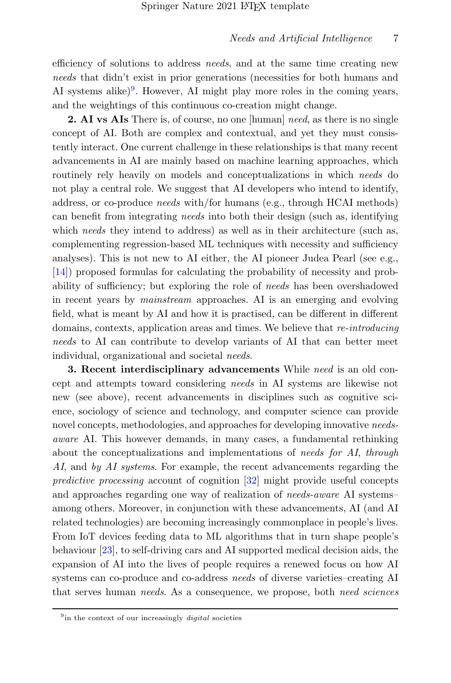efficiency of solutions to address *needs*, and at the same time creating new needs that didn't exist in prior generations (necessities for both humans and AI systems alike)<sup>[9](#page-7-0)</sup>. However, AI might play more roles in the coming years, and the weightings of this continuous co-creation might change.

2. AI vs AIs There is, of course, no one [human] need, as there is no single concept of AI. Both are complex and contextual, and yet they must consistently interact. One current challenge in these relationships is that many recent advancements in AI are mainly based on machine learning approaches, which routinely rely heavily on models and conceptualizations in which needs do not play a central role. We suggest that AI developers who intend to identify, address, or co-produce needs with/for humans (e.g., through HCAI methods) can benefit from integrating needs into both their design (such as, identifying which needs they intend to address) as well as in their architecture (such as, complementing regression-based ML techniques with necessity and sufficiency analyses). This is not new to AI either, the AI pioneer Judea Pearl (see e.g., [\[14\]](#page-27-3)) proposed formulas for calculating the probability of necessity and probability of sufficiency; but exploring the role of *needs* has been overshadowed in recent years by mainstream approaches. AI is an emerging and evolving field, what is meant by AI and how it is practised, can be different in different domains, contexts, application areas and times. We believe that re-introducing needs to AI can contribute to develop variants of AI that can better meet individual, organizational and societal needs.

3. Recent interdisciplinary advancements While need is an old concept and attempts toward considering needs in AI systems are likewise not new (see above), recent advancements in disciplines such as cognitive science, sociology of science and technology, and computer science can provide novel concepts, methodologies, and approaches for developing innovative needsaware AI. This however demands, in many cases, a fundamental rethinking about the conceptualizations and implementations of needs for AI, through AI, and by AI systems. For example, the recent advancements regarding the predictive processing account of cognition [\[32\]](#page-28-8) might provide useful concepts and approaches regarding one way of realization of needs-aware AI systems– among others. Moreover, in conjunction with these advancements, AI (and AI related technologies) are becoming increasingly commonplace in people's lives. From IoT devices feeding data to ML algorithms that in turn shape people's behaviour [\[23\]](#page-28-0), to self-driving cars and AI supported medical decision aids, the expansion of AI into the lives of people requires a renewed focus on how AI systems can co-produce and co-address needs of diverse varieties–creating AI that serves human *needs*. As a consequence, we propose, both *need sciences* 

<span id="page-7-0"></span> $9$  in the context of our increasingly *digital* societies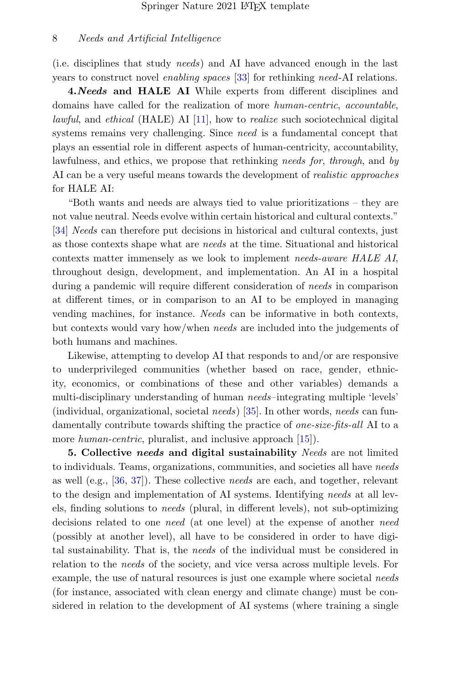(i.e. disciplines that study needs) and AI have advanced enough in the last years to construct novel enabling spaces [\[33\]](#page-28-9) for rethinking need-AI relations.

4.Needs and HALE AI While experts from different disciplines and domains have called for the realization of more human-centric, accountable, *lawful*, and *ethical* (HALE) AI  $[11]$ , how to *realize* such sociotechnical digital systems remains very challenging. Since need is a fundamental concept that plays an essential role in different aspects of human-centricity, accountability, lawfulness, and ethics, we propose that rethinking needs for, through, and by AI can be a very useful means towards the development of realistic approaches for HALE AI:

"Both wants and needs are always tied to value prioritizations – they are not value neutral. Needs evolve within certain historical and cultural contexts." [\[34\]](#page-28-10) *Needs* can therefore put decisions in historical and cultural contexts, just as those contexts shape what are needs at the time. Situational and historical contexts matter immensely as we look to implement needs-aware HALE AI, throughout design, development, and implementation. An AI in a hospital during a pandemic will require different consideration of needs in comparison at different times, or in comparison to an AI to be employed in managing vending machines, for instance. Needs can be informative in both contexts, but contexts would vary how/when needs are included into the judgements of both humans and machines.

Likewise, attempting to develop AI that responds to and/or are responsive to underprivileged communities (whether based on race, gender, ethnicity, economics, or combinations of these and other variables) demands a multi-disciplinary understanding of human needs–integrating multiple 'levels' (individual, organizational, societal needs) [\[35\]](#page-28-11). In other words, needs can fundamentally contribute towards shifting the practice of *one-size-fits-all* AI to a more human-centric, pluralist, and inclusive approach [\[15\]](#page-27-11).

5. Collective needs and digital sustainability Needs are not limited to individuals. Teams, organizations, communities, and societies all have needs as well (e.g., [\[36,](#page-29-0) [37\]](#page-29-1)). These collective needs are each, and together, relevant to the design and implementation of AI systems. Identifying needs at all levels, finding solutions to needs (plural, in different levels), not sub-optimizing decisions related to one *need* (at one level) at the expense of another *need* (possibly at another level), all have to be considered in order to have digital sustainability. That is, the needs of the individual must be considered in relation to the needs of the society, and vice versa across multiple levels. For example, the use of natural resources is just one example where societal needs (for instance, associated with clean energy and climate change) must be considered in relation to the development of AI systems (where training a single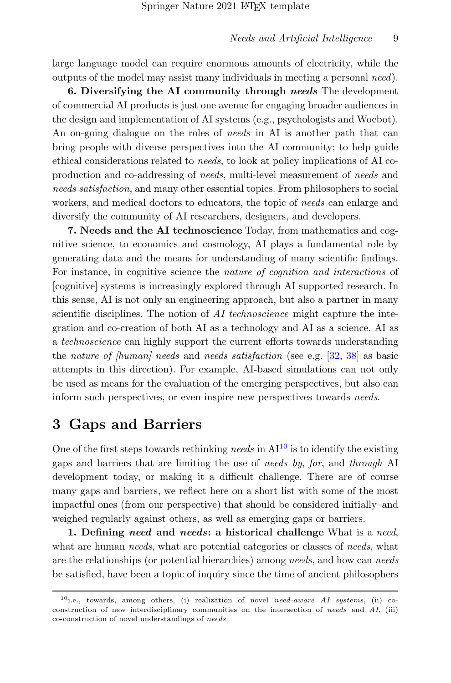large language model can require enormous amounts of electricity, while the outputs of the model may assist many individuals in meeting a personal need).

6. Diversifying the AI community through needs The development of commercial AI products is just one avenue for engaging broader audiences in the design and implementation of AI systems (e.g., psychologists and Woebot). An on-going dialogue on the roles of *needs* in AI is another path that can bring people with diverse perspectives into the AI community; to help guide ethical considerations related to needs, to look at policy implications of AI coproduction and co-addressing of needs, multi-level measurement of needs and needs satisfaction, and many other essential topics. From philosophers to social workers, and medical doctors to educators, the topic of needs can enlarge and diversify the community of AI researchers, designers, and developers.

7. Needs and the AI technoscience Today, from mathematics and cognitive science, to economics and cosmology, AI plays a fundamental role by generating data and the means for understanding of many scientific findings. For instance, in cognitive science the nature of cognition and interactions of [cognitive] systems is increasingly explored through AI supported research. In this sense, AI is not only an engineering approach, but also a partner in many scientific disciplines. The notion of AI technoscience might capture the integration and co-creation of both AI as a technology and AI as a science. AI as a technoscience can highly support the current efforts towards understanding the nature of  $[human]$  needs and needs satisfaction (see e.g.  $[32, 38]$  $[32, 38]$  $[32, 38]$ ) as basic attempts in this direction). For example, AI-based simulations can not only be used as means for the evaluation of the emerging perspectives, but also can inform such perspectives, or even inspire new perspectives towards needs.

## 3 Gaps and Barriers

One of the first steps towards rethinking needs in  $AI^{10}$  $AI^{10}$  $AI^{10}$  is to identify the existing gaps and barriers that are limiting the use of needs by, for, and through AI development today, or making it a difficult challenge. There are of course many gaps and barriers, we reflect here on a short list with some of the most impactful ones (from our perspective) that should be considered initially–and weighed regularly against others, as well as emerging gaps or barriers.

1. Defining need and needs: a historical challenge What is a need, what are human *needs*, what are potential categories or classes of *needs*, what are the relationships (or potential hierarchies) among needs, and how can needs be satisfied, have been a topic of inquiry since the time of ancient philosophers

<span id="page-9-0"></span> $10$ i.e., towards, among others, (i) realization of novel need-aware AI systems, (ii) coconstruction of new interdisciplinary communities on the intersection of needs and AI, (iii) co-construction of novel understandings of needs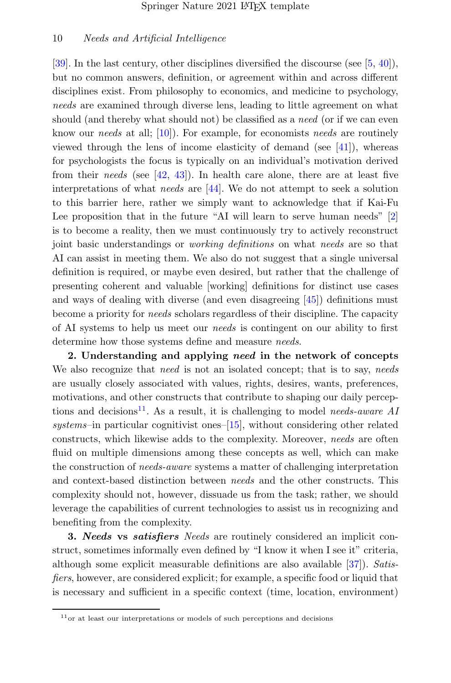[\[39\]](#page-29-3). In the last century, other disciplines diversified the discourse (see [\[5,](#page-26-4) [40\]](#page-29-4)), but no common answers, definition, or agreement within and across different disciplines exist. From philosophy to economics, and medicine to psychology, needs are examined through diverse lens, leading to little agreement on what should (and thereby what should not) be classified as a *need* (or if we can even know our *needs* at all; [\[10\]](#page-26-8)). For example, for economists *needs* are routinely viewed through the lens of income elasticity of demand (see  $[41]$ ), whereas for psychologists the focus is typically on an individual's motivation derived from their needs (see  $[42, 43]$  $[42, 43]$  $[42, 43]$ ). In health care alone, there are at least five interpretations of what needs are [\[44\]](#page-29-8). We do not attempt to seek a solution to this barrier here, rather we simply want to acknowledge that if Kai-Fu Lee proposition that in the future "AI will learn to serve human needs" [\[2\]](#page-26-1) is to become a reality, then we must continuously try to actively reconstruct joint basic understandings or working definitions on what needs are so that AI can assist in meeting them. We also do not suggest that a single universal definition is required, or maybe even desired, but rather that the challenge of presenting coherent and valuable [working] definitions for distinct use cases and ways of dealing with diverse (and even disagreeing [\[45\]](#page-29-9)) definitions must become a priority for needs scholars regardless of their discipline. The capacity of AI systems to help us meet our needs is contingent on our ability to first determine how those systems define and measure *needs*.

2. Understanding and applying need in the network of concepts We also recognize that need is not an isolated concept; that is to say, needs are usually closely associated with values, rights, desires, wants, preferences, motivations, and other constructs that contribute to shaping our daily percep-tions and decisions<sup>[11](#page-10-0)</sup>. As a result, it is challenging to model needs-aware AI systems–in particular cognitivist ones–[\[15\]](#page-27-11), without considering other related constructs, which likewise adds to the complexity. Moreover, needs are often fluid on multiple dimensions among these concepts as well, which can make the construction of needs-aware systems a matter of challenging interpretation and context-based distinction between needs and the other constructs. This complexity should not, however, dissuade us from the task; rather, we should leverage the capabilities of current technologies to assist us in recognizing and benefiting from the complexity.

**3. Needs vs satisfiers** Needs are routinely considered an implicit construct, sometimes informally even defined by "I know it when I see it" criteria, although some explicit measurable definitions are also available [\[37\]](#page-29-1)). Satisfiers, however, are considered explicit; for example, a specific food or liquid that is necessary and sufficient in a specific context (time, location, environment)

<span id="page-10-0"></span> $11$ <sub>or</sub> at least our interpretations or models of such perceptions and decisions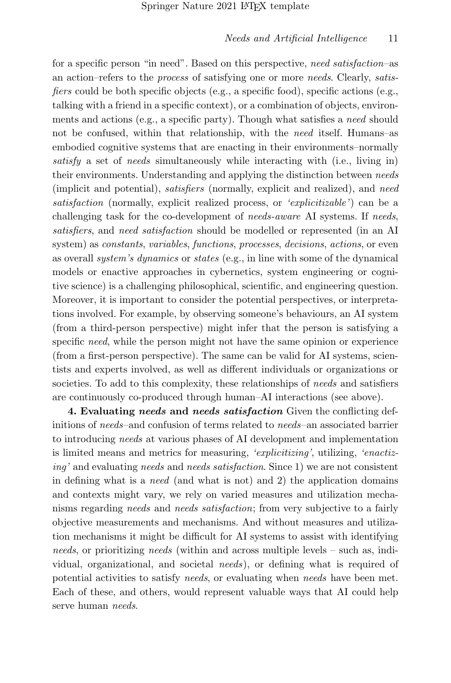for a specific person "in need". Based on this perspective, need satisfaction–as an action–refers to the process of satisfying one or more needs. Clearly, satisfiers could be both specific objects (e.g., a specific food), specific actions (e.g., talking with a friend in a specific context), or a combination of objects, environments and actions (e.g., a specific party). Though what satisfies a need should not be confused, within that relationship, with the need itself. Humans–as embodied cognitive systems that are enacting in their environments–normally satisfy a set of needs simultaneously while interacting with (i.e., living in) their environments. Understanding and applying the distinction between needs (implicit and potential), *satisfiers* (normally, explicit and realized), and need satisfaction (normally, explicit realized process, or 'explicitizable') can be a challenging task for the co-development of needs-aware AI systems. If needs, satisfiers, and need satisfaction should be modelled or represented (in an AI system) as *constants, variables, functions, processes, decisions, actions*, or even as overall system's dynamics or states (e.g., in line with some of the dynamical models or enactive approaches in cybernetics, system engineering or cognitive science) is a challenging philosophical, scientific, and engineering question. Moreover, it is important to consider the potential perspectives, or interpretations involved. For example, by observing someone's behaviours, an AI system (from a third-person perspective) might infer that the person is satisfying a specific *need*, while the person might not have the same opinion or experience (from a first-person perspective). The same can be valid for AI systems, scientists and experts involved, as well as different individuals or organizations or societies. To add to this complexity, these relationships of *needs* and satisfiers are continuously co-produced through human–AI interactions (see above).

4. Evaluating needs and needs satisfaction Given the conflicting definitions of needs–and confusion of terms related to needs–an associated barrier to introducing needs at various phases of AI development and implementation is limited means and metrics for measuring, 'explicitizing', utilizing, 'enactizing' and evaluating needs and needs satisfaction. Since 1) we are not consistent in defining what is a *need* (and what is not) and 2) the application domains and contexts might vary, we rely on varied measures and utilization mechanisms regarding needs and needs satisfaction; from very subjective to a fairly objective measurements and mechanisms. And without measures and utilization mechanisms it might be difficult for AI systems to assist with identifying needs, or prioritizing needs (within and across multiple levels – such as, individual, organizational, and societal needs), or defining what is required of potential activities to satisfy *needs*, or evaluating when *needs* have been met. Each of these, and others, would represent valuable ways that AI could help serve human *needs*.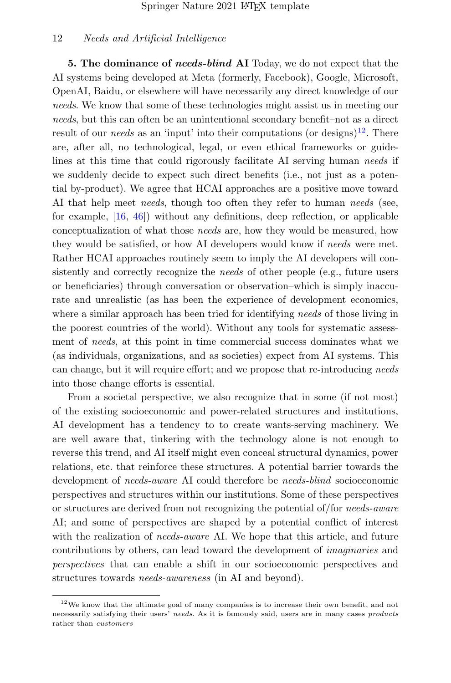5. The dominance of needs-blind AI Today, we do not expect that the AI systems being developed at Meta (formerly, Facebook), Google, Microsoft, OpenAI, Baidu, or elsewhere will have necessarily any direct knowledge of our needs. We know that some of these technologies might assist us in meeting our needs, but this can often be an unintentional secondary benefit–not as a direct result of our *needs* as an 'input' into their computations (or designs)<sup>[12](#page-12-0)</sup>. There are, after all, no technological, legal, or even ethical frameworks or guidelines at this time that could rigorously facilitate AI serving human needs if we suddenly decide to expect such direct benefits (i.e., not just as a potential by-product). We agree that HCAI approaches are a positive move toward AI that help meet *needs*, though too often they refer to human *needs* (see, for example, [\[16,](#page-27-4) [46\]](#page-29-10)) without any definitions, deep reflection, or applicable conceptualization of what those needs are, how they would be measured, how they would be satisfied, or how AI developers would know if needs were met. Rather HCAI approaches routinely seem to imply the AI developers will consistently and correctly recognize the needs of other people (e.g., future users or beneficiaries) through conversation or observation–which is simply inaccurate and unrealistic (as has been the experience of development economics, where a similar approach has been tried for identifying needs of those living in the poorest countries of the world). Without any tools for systematic assessment of needs, at this point in time commercial success dominates what we (as individuals, organizations, and as societies) expect from AI systems. This can change, but it will require effort; and we propose that re-introducing needs into those change efforts is essential.

From a societal perspective, we also recognize that in some (if not most) of the existing socioeconomic and power-related structures and institutions, AI development has a tendency to to create wants-serving machinery. We are well aware that, tinkering with the technology alone is not enough to reverse this trend, and AI itself might even conceal structural dynamics, power relations, etc. that reinforce these structures. A potential barrier towards the development of needs-aware AI could therefore be needs-blind socioeconomic perspectives and structures within our institutions. Some of these perspectives or structures are derived from not recognizing the potential of/for needs-aware AI; and some of perspectives are shaped by a potential conflict of interest with the realization of *needs-aware* AI. We hope that this article, and future contributions by others, can lead toward the development of imaginaries and perspectives that can enable a shift in our socioeconomic perspectives and structures towards needs-awareness (in AI and beyond).

<span id="page-12-0"></span><sup>12</sup>We know that the ultimate goal of many companies is to increase their own benefit, and not necessarily satisfying their users' needs. As it is famously said, users are in many cases products rather than customers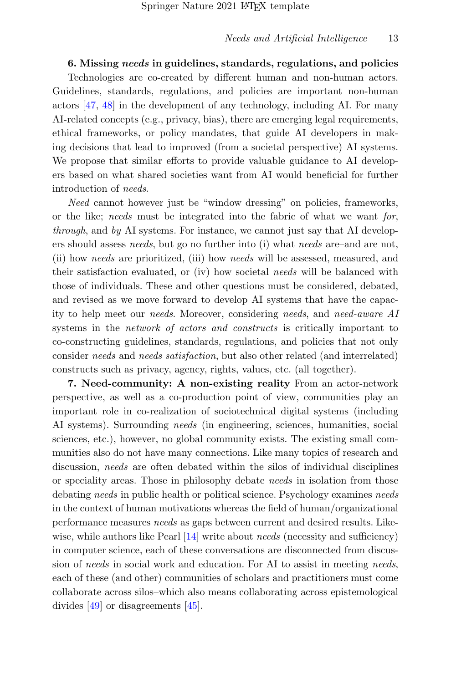6. Missing needs in guidelines, standards, regulations, and policies Technologies are co-created by different human and non-human actors. Guidelines, standards, regulations, and policies are important non-human actors [\[47,](#page-30-0) [48\]](#page-30-1) in the development of any technology, including AI. For many AI-related concepts (e.g., privacy, bias), there are emerging legal requirements, ethical frameworks, or policy mandates, that guide AI developers in making decisions that lead to improved (from a societal perspective) AI systems. We propose that similar efforts to provide valuable guidance to AI developers based on what shared societies want from AI would beneficial for further introduction of needs.

Need cannot however just be "window dressing" on policies, frameworks, or the like; needs must be integrated into the fabric of what we want for, *through*, and by AI systems. For instance, we cannot just say that AI developers should assess needs, but go no further into (i) what needs are–and are not, (ii) how needs are prioritized, (iii) how needs will be assessed, measured, and their satisfaction evaluated, or (iv) how societal needs will be balanced with those of individuals. These and other questions must be considered, debated, and revised as we move forward to develop AI systems that have the capacity to help meet our needs. Moreover, considering needs, and need-aware AI systems in the *network of actors and constructs* is critically important to co-constructing guidelines, standards, regulations, and policies that not only consider needs and needs satisfaction, but also other related (and interrelated) constructs such as privacy, agency, rights, values, etc. (all together).

7. Need-community: A non-existing reality From an actor-network perspective, as well as a co-production point of view, communities play an important role in co-realization of sociotechnical digital systems (including AI systems). Surrounding needs (in engineering, sciences, humanities, social sciences, etc.), however, no global community exists. The existing small communities also do not have many connections. Like many topics of research and discussion, needs are often debated within the silos of individual disciplines or speciality areas. Those in philosophy debate needs in isolation from those debating needs in public health or political science. Psychology examines needs in the context of human motivations whereas the field of human/organizational performance measures needs as gaps between current and desired results. Like-wise, while authors like Pearl [\[14\]](#page-27-3) write about *needs* (necessity and sufficiency) in computer science, each of these conversations are disconnected from discussion of needs in social work and education. For AI to assist in meeting needs, each of these (and other) communities of scholars and practitioners must come collaborate across silos–which also means collaborating across epistemological divides [\[49\]](#page-30-2) or disagreements [\[45\]](#page-29-9).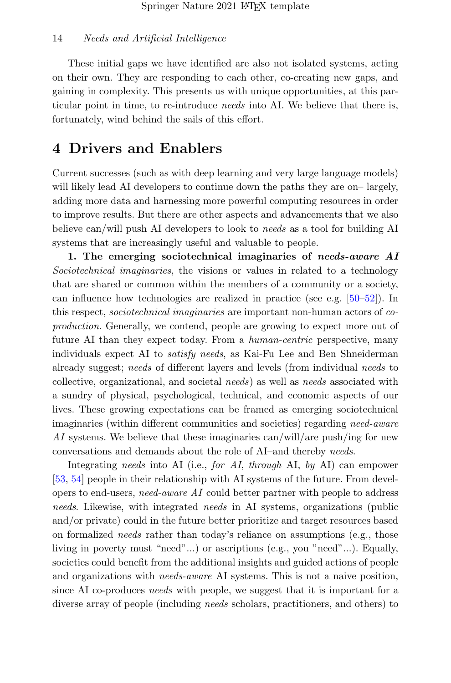These initial gaps we have identified are also not isolated systems, acting on their own. They are responding to each other, co-creating new gaps, and gaining in complexity. This presents us with unique opportunities, at this particular point in time, to re-introduce needs into AI. We believe that there is, fortunately, wind behind the sails of this effort.

## 4 Drivers and Enablers

Current successes (such as with deep learning and very large language models) will likely lead AI developers to continue down the paths they are on– largely, adding more data and harnessing more powerful computing resources in order to improve results. But there are other aspects and advancements that we also believe can/will push AI developers to look to needs as a tool for building AI systems that are increasingly useful and valuable to people.

1. The emerging sociotechnical imaginaries of needs-aware AI Sociotechnical imaginaries, the visions or values in related to a technology that are shared or common within the members of a community or a society, can influence how technologies are realized in practice (see e.g. [\[50–](#page-30-3)[52\]](#page-30-4)). In this respect, sociotechnical imaginaries are important non-human actors of coproduction. Generally, we contend, people are growing to expect more out of future AI than they expect today. From a *human-centric* perspective, many individuals expect AI to satisfy needs, as Kai-Fu Lee and Ben Shneiderman already suggest; needs of different layers and levels (from individual needs to collective, organizational, and societal needs) as well as needs associated with a sundry of physical, psychological, technical, and economic aspects of our lives. These growing expectations can be framed as emerging sociotechnical imaginaries (within different communities and societies) regarding need-aware AI systems. We believe that these imaginaries can/will/are push/ing for new conversations and demands about the role of AI–and thereby needs.

Integrating needs into AI (i.e., for AI, through AI, by AI) can empower [\[53,](#page-30-5) [54\]](#page-30-6) people in their relationship with AI systems of the future. From developers to end-users, need-aware AI could better partner with people to address needs. Likewise, with integrated needs in AI systems, organizations (public and/or private) could in the future better prioritize and target resources based on formalized needs rather than today's reliance on assumptions (e.g., those living in poverty must "need"...) or ascriptions (e.g., you "need"...). Equally, societies could benefit from the additional insights and guided actions of people and organizations with *needs-aware* AI systems. This is not a naive position, since AI co-produces needs with people, we suggest that it is important for a diverse array of people (including needs scholars, practitioners, and others) to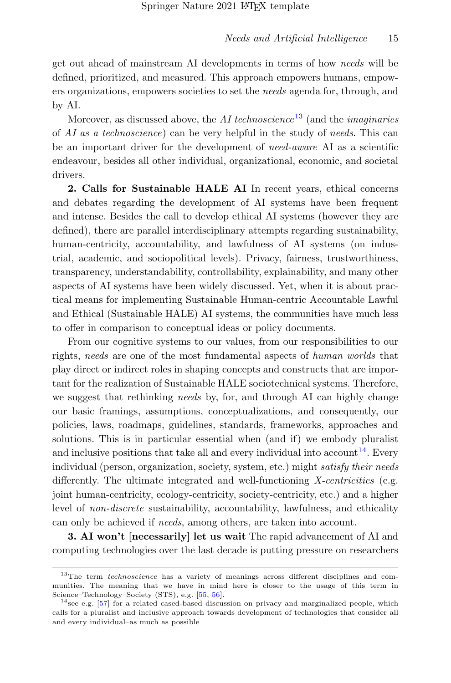get out ahead of mainstream AI developments in terms of how needs will be defined, prioritized, and measured. This approach empowers humans, empowers organizations, empowers societies to set the needs agenda for, through, and by AI.

Moreover, as discussed above, the *AI* technoscience<sup>[13](#page-15-0)</sup> (and the *imaginaries* of AI as a technoscience) can be very helpful in the study of needs. This can be an important driver for the development of *need-aware* AI as a scientific endeavour, besides all other individual, organizational, economic, and societal drivers.

2. Calls for Sustainable HALE AI In recent years, ethical concerns and debates regarding the development of AI systems have been frequent and intense. Besides the call to develop ethical AI systems (however they are defined), there are parallel interdisciplinary attempts regarding sustainability, human-centricity, accountability, and lawfulness of AI systems (on industrial, academic, and sociopolitical levels). Privacy, fairness, trustworthiness, transparency, understandability, controllability, explainability, and many other aspects of AI systems have been widely discussed. Yet, when it is about practical means for implementing Sustainable Human-centric Accountable Lawful and Ethical (Sustainable HALE) AI systems, the communities have much less to offer in comparison to conceptual ideas or policy documents.

From our cognitive systems to our values, from our responsibilities to our rights, needs are one of the most fundamental aspects of human worlds that play direct or indirect roles in shaping concepts and constructs that are important for the realization of Sustainable HALE sociotechnical systems. Therefore, we suggest that rethinking needs by, for, and through AI can highly change our basic framings, assumptions, conceptualizations, and consequently, our policies, laws, roadmaps, guidelines, standards, frameworks, approaches and solutions. This is in particular essential when (and if) we embody pluralist and inclusive positions that take all and every individual into account<sup>[14](#page-15-1)</sup>. Every individual (person, organization, society, system, etc.) might satisfy their needs differently. The ultimate integrated and well-functioning  $X\text{-}centricities$  (e.g. joint human-centricity, ecology-centricity, society-centricity, etc.) and a higher level of non-discrete sustainability, accountability, lawfulness, and ethicality can only be achieved if needs, among others, are taken into account.

3. AI won't [necessarily] let us wait The rapid advancement of AI and computing technologies over the last decade is putting pressure on researchers

<span id="page-15-0"></span> $13$ The term *technoscience* has a variety of meanings across different disciplines and communities. The meaning that we have in mind here is closer to the usage of this term in Science–Technology–Society (STS), e.g. [\[55,](#page-30-7) [56\]](#page-30-8).

<span id="page-15-1"></span> $14$ see e.g. [\[57\]](#page-30-9) for a related cased-based discussion on privacy and marginalized people, which calls for a pluralist and inclusive approach towards development of technologies that consider all and every individual–as much as possible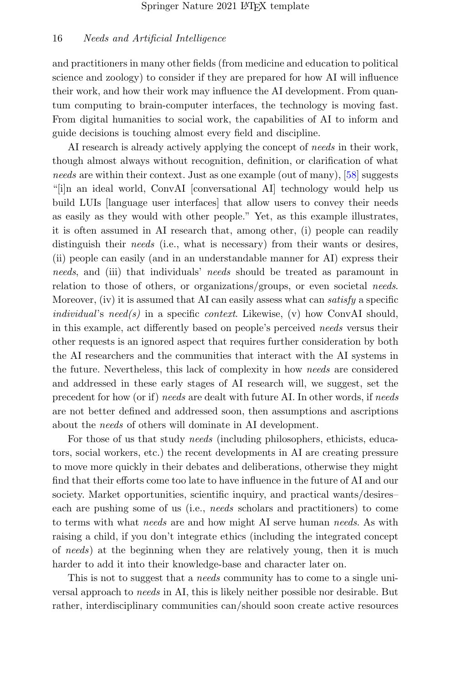and practitioners in many other fields (from medicine and education to political science and zoology) to consider if they are prepared for how AI will influence their work, and how their work may influence the AI development. From quantum computing to brain-computer interfaces, the technology is moving fast. From digital humanities to social work, the capabilities of AI to inform and guide decisions is touching almost every field and discipline.

AI research is already actively applying the concept of needs in their work, though almost always without recognition, definition, or clarification of what needs are within their context. Just as one example (out of many), [\[58\]](#page-30-10) suggests "[i]n an ideal world, ConvAI [conversational AI] technology would help us build LUIs [language user interfaces] that allow users to convey their needs as easily as they would with other people." Yet, as this example illustrates, it is often assumed in AI research that, among other, (i) people can readily distinguish their *needs* (i.e., what is necessary) from their wants or desires, (ii) people can easily (and in an understandable manner for AI) express their needs, and (iii) that individuals' needs should be treated as paramount in relation to those of others, or organizations/groups, or even societal needs. Moreover, (iv) it is assumed that AI can easily assess what can *satisfy* a specific individual's need(s) in a specific context. Likewise, (v) how ConvAI should, in this example, act differently based on people's perceived needs versus their other requests is an ignored aspect that requires further consideration by both the AI researchers and the communities that interact with the AI systems in the future. Nevertheless, this lack of complexity in how needs are considered and addressed in these early stages of AI research will, we suggest, set the precedent for how (or if) needs are dealt with future AI. In other words, if needs are not better defined and addressed soon, then assumptions and ascriptions about the needs of others will dominate in AI development.

For those of us that study *needs* (including philosophers, ethicists, educators, social workers, etc.) the recent developments in AI are creating pressure to move more quickly in their debates and deliberations, otherwise they might find that their efforts come too late to have influence in the future of AI and our society. Market opportunities, scientific inquiry, and practical wants/desires– each are pushing some of us (i.e., needs scholars and practitioners) to come to terms with what needs are and how might AI serve human needs. As with raising a child, if you don't integrate ethics (including the integrated concept of needs) at the beginning when they are relatively young, then it is much harder to add it into their knowledge-base and character later on.

This is not to suggest that a *needs* community has to come to a single universal approach to needs in AI, this is likely neither possible nor desirable. But rather, interdisciplinary communities can/should soon create active resources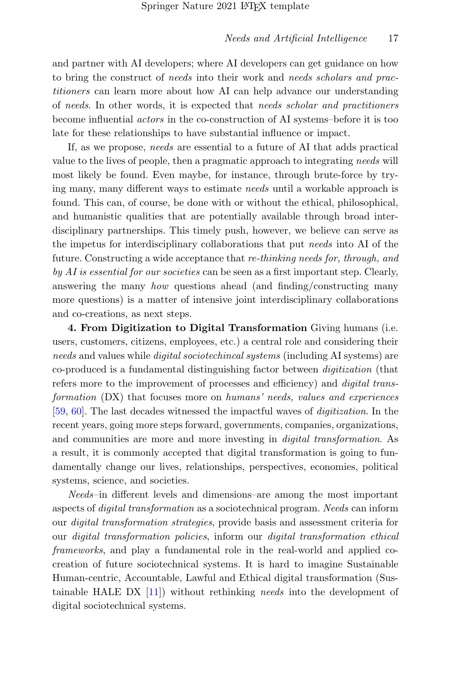and partner with AI developers; where AI developers can get guidance on how to bring the construct of needs into their work and needs scholars and practitioners can learn more about how AI can help advance our understanding of needs. In other words, it is expected that needs scholar and practitioners become influential actors in the co-construction of AI systems–before it is too late for these relationships to have substantial influence or impact.

If, as we propose, needs are essential to a future of AI that adds practical value to the lives of people, then a pragmatic approach to integrating needs will most likely be found. Even maybe, for instance, through brute-force by trying many, many different ways to estimate needs until a workable approach is found. This can, of course, be done with or without the ethical, philosophical, and humanistic qualities that are potentially available through broad interdisciplinary partnerships. This timely push, however, we believe can serve as the impetus for interdisciplinary collaborations that put needs into AI of the future. Constructing a wide acceptance that re-thinking needs for, through, and  $by AI$  is essential for our societies can be seen as a first important step. Clearly, answering the many how questions ahead (and finding/constructing many more questions) is a matter of intensive joint interdisciplinary collaborations and co-creations, as next steps.

4. From Digitization to Digital Transformation Giving humans (i.e. users, customers, citizens, employees, etc.) a central role and considering their needs and values while *digital sociotechincal systems* (including AI systems) are co-produced is a fundamental distinguishing factor between digitization (that refers more to the improvement of processes and efficiency) and digital transformation (DX) that focuses more on humans' needs, values and experiences [\[59,](#page-31-0) [60\]](#page-31-1). The last decades witnessed the impactful waves of digitization. In the recent years, going more steps forward, governments, companies, organizations, and communities are more and more investing in digital transformation. As a result, it is commonly accepted that digital transformation is going to fundamentally change our lives, relationships, perspectives, economies, political systems, science, and societies.

Needs–in different levels and dimensions–are among the most important aspects of digital transformation as a sociotechnical program. Needs can inform our digital transformation strategies, provide basis and assessment criteria for our digital transformation policies, inform our digital transformation ethical frameworks, and play a fundamental role in the real-world and applied cocreation of future sociotechnical systems. It is hard to imagine Sustainable Human-centric, Accountable, Lawful and Ethical digital transformation (Sustainable HALE DX [\[11\]](#page-27-1)) without rethinking needs into the development of digital sociotechnical systems.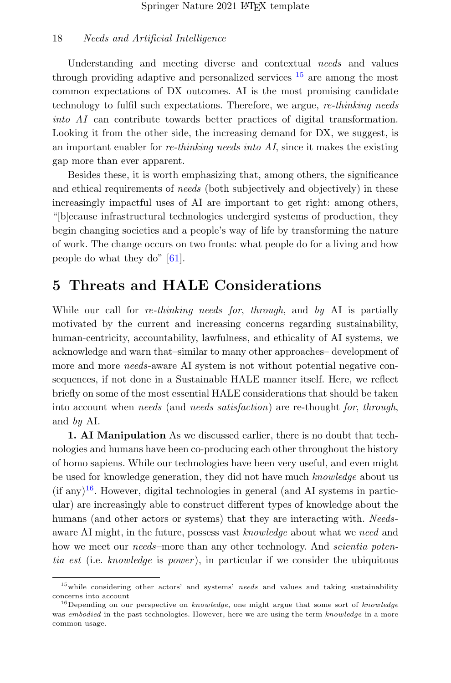Understanding and meeting diverse and contextual needs and values through providing adaptive and personalized services  $15$  are among the most common expectations of DX outcomes. AI is the most promising candidate technology to fulfil such expectations. Therefore, we argue, re-thinking needs into AI can contribute towards better practices of digital transformation. Looking it from the other side, the increasing demand for DX, we suggest, is an important enabler for re-thinking needs into  $AI$ , since it makes the existing gap more than ever apparent.

Besides these, it is worth emphasizing that, among others, the significance and ethical requirements of *needs* (both subjectively and objectively) in these increasingly impactful uses of AI are important to get right: among others, "[b]ecause infrastructural technologies undergird systems of production, they begin changing societies and a people's way of life by transforming the nature of work. The change occurs on two fronts: what people do for a living and how people do what they do" [\[61\]](#page-31-2).

## 5 Threats and HALE Considerations

While our call for *re-thinking needs for, through*, and by AI is partially motivated by the current and increasing concerns regarding sustainability, human-centricity, accountability, lawfulness, and ethicality of AI systems, we acknowledge and warn that–similar to many other approaches– development of more and more *needs*-aware AI system is not without potential negative consequences, if not done in a Sustainable HALE manner itself. Here, we reflect briefly on some of the most essential HALE considerations that should be taken into account when needs (and needs satisfaction) are re-thought for, through, and by AI.

1. AI Manipulation As we discussed earlier, there is no doubt that technologies and humans have been co-producing each other throughout the history of homo sapiens. While our technologies have been very useful, and even might be used for knowledge generation, they did not have much knowledge about us  $(i$ f any $)^{16}$  $)^{16}$  $)^{16}$ . However, digital technologies in general (and AI systems in particular) are increasingly able to construct different types of knowledge about the humans (and other actors or systems) that they are interacting with. Needsaware AI might, in the future, possess vast knowledge about what we need and how we meet our *needs*–more than any other technology. And *scientia poten*tia est (i.e. knowledge is power), in particular if we consider the ubiquitous

<span id="page-18-0"></span> $15$  while considering other actors' and systems' needs and values and taking sustainability concerns into account

<span id="page-18-1"></span><sup>&</sup>lt;sup>16</sup>Depending on our perspective on *knowledge*, one might argue that some sort of *knowledge* was embodied in the past technologies. However, here we are using the term knowledge in a more common usage.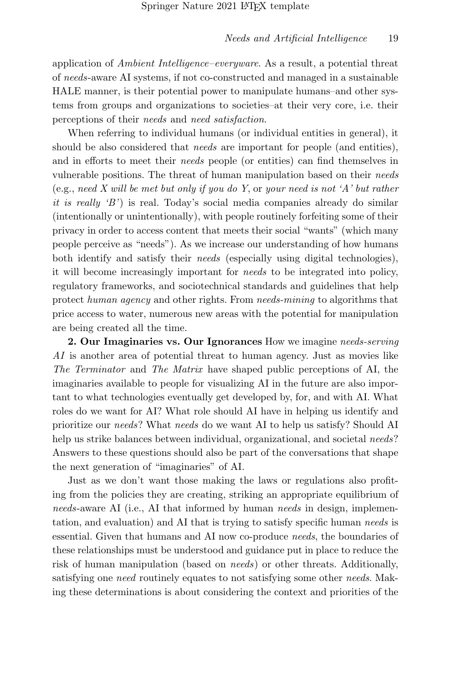application of Ambient Intelligence–everyware. As a result, a potential threat of needs-aware AI systems, if not co-constructed and managed in a sustainable HALE manner, is their potential power to manipulate humans–and other systems from groups and organizations to societies–at their very core, i.e. their perceptions of their needs and need satisfaction.

When referring to individual humans (or individual entities in general), it should be also considered that *needs* are important for people (and entities), and in efforts to meet their needs people (or entities) can find themselves in vulnerable positions. The threat of human manipulation based on their needs (e.g., need X will be met but only if you do Y, or your need is not 'A' but rather it is really 'B') is real. Today's social media companies already do similar (intentionally or unintentionally), with people routinely forfeiting some of their privacy in order to access content that meets their social "wants" (which many people perceive as "needs"). As we increase our understanding of how humans both identify and satisfy their needs (especially using digital technologies), it will become increasingly important for needs to be integrated into policy, regulatory frameworks, and sociotechnical standards and guidelines that help protect human agency and other rights. From needs-mining to algorithms that price access to water, numerous new areas with the potential for manipulation are being created all the time.

2. Our Imaginaries vs. Our Ignorances How we imagine needs-serving AI is another area of potential threat to human agency. Just as movies like The Terminator and The Matrix have shaped public perceptions of AI, the imaginaries available to people for visualizing AI in the future are also important to what technologies eventually get developed by, for, and with AI. What roles do we want for AI? What role should AI have in helping us identify and prioritize our needs? What needs do we want AI to help us satisfy? Should AI help us strike balances between individual, organizational, and societal needs? Answers to these questions should also be part of the conversations that shape the next generation of "imaginaries" of AI.

Just as we don't want those making the laws or regulations also profiting from the policies they are creating, striking an appropriate equilibrium of needs-aware AI (i.e., AI that informed by human needs in design, implementation, and evaluation) and AI that is trying to satisfy specific human needs is essential. Given that humans and AI now co-produce needs, the boundaries of these relationships must be understood and guidance put in place to reduce the risk of human manipulation (based on *needs*) or other threats. Additionally, satisfying one *need* routinely equates to not satisfying some other *needs*. Making these determinations is about considering the context and priorities of the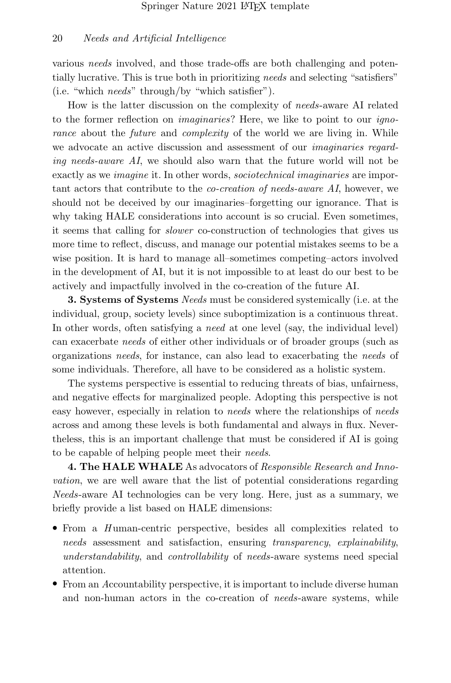various *needs* involved, and those trade-offs are both challenging and potentially lucrative. This is true both in prioritizing needs and selecting "satisfiers" (i.e. "which needs" through/by "which satisfier").

How is the latter discussion on the complexity of needs-aware AI related to the former reflection on imaginaries? Here, we like to point to our ignorance about the *future* and *complexity* of the world we are living in. While we advocate an active discussion and assessment of our *imaginaries regard*ing needs-aware AI, we should also warn that the future world will not be exactly as we *imagine* it. In other words, *sociotechnical imaginaries* are important actors that contribute to the co-creation of needs-aware AI, however, we should not be deceived by our imaginaries–forgetting our ignorance. That is why taking HALE considerations into account is so crucial. Even sometimes, it seems that calling for slower co-construction of technologies that gives us more time to reflect, discuss, and manage our potential mistakes seems to be a wise position. It is hard to manage all–sometimes competing–actors involved in the development of AI, but it is not impossible to at least do our best to be actively and impactfully involved in the co-creation of the future AI.

3. Systems of Systems Needs must be considered systemically (i.e. at the individual, group, society levels) since suboptimization is a continuous threat. In other words, often satisfying a *need* at one level (say, the individual level) can exacerbate needs of either other individuals or of broader groups (such as organizations needs, for instance, can also lead to exacerbating the needs of some individuals. Therefore, all have to be considered as a holistic system.

The systems perspective is essential to reducing threats of bias, unfairness, and negative effects for marginalized people. Adopting this perspective is not easy however, especially in relation to needs where the relationships of needs across and among these levels is both fundamental and always in flux. Nevertheless, this is an important challenge that must be considered if AI is going to be capable of helping people meet their needs.

4. The HALE WHALE As advocators of Responsible Research and Innovation, we are well aware that the list of potential considerations regarding Needs-aware AI technologies can be very long. Here, just as a summary, we briefly provide a list based on HALE dimensions:

- From a Human-centric perspective, besides all complexities related to needs assessment and satisfaction, ensuring transparency, explainability, understandability, and controllability of needs-aware systems need special attention.
- From an Accountability perspective, it is important to include diverse human and non-human actors in the co-creation of *needs*-aware systems, while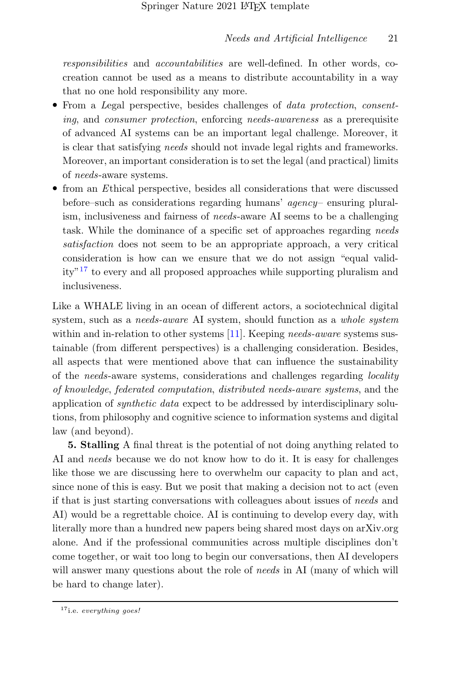responsibilities and accountabilities are well-defined. In other words, cocreation cannot be used as a means to distribute accountability in a way that no one hold responsibility any more.

- From a Legal perspective, besides challenges of *data protection, consent*ing, and consumer protection, enforcing needs-awareness as a prerequisite of advanced AI systems can be an important legal challenge. Moreover, it is clear that satisfying needs should not invade legal rights and frameworks. Moreover, an important consideration is to set the legal (and practical) limits of needs-aware systems.
- from an Ethical perspective, besides all considerations that were discussed before–such as considerations regarding humans' agency– ensuring pluralism, inclusiveness and fairness of needs-aware AI seems to be a challenging task. While the dominance of a specific set of approaches regarding needs satisfaction does not seem to be an appropriate approach, a very critical consideration is how can we ensure that we do not assign "equal validity"[17](#page-21-0) to every and all proposed approaches while supporting pluralism and inclusiveness.

Like a WHALE living in an ocean of different actors, a sociotechnical digital system, such as a *needs-aware* AI system, should function as a *whole system* within and in-relation to other systems  $[11]$ . Keeping needs-aware systems sustainable (from different perspectives) is a challenging consideration. Besides, all aspects that were mentioned above that can influence the sustainability of the needs-aware systems, considerations and challenges regarding locality of knowledge, federated computation, distributed needs-aware systems, and the application of synthetic data expect to be addressed by interdisciplinary solutions, from philosophy and cognitive science to information systems and digital law (and beyond).

5. Stalling A final threat is the potential of not doing anything related to AI and needs because we do not know how to do it. It is easy for challenges like those we are discussing here to overwhelm our capacity to plan and act, since none of this is easy. But we posit that making a decision not to act (even if that is just starting conversations with colleagues about issues of needs and AI) would be a regrettable choice. AI is continuing to develop every day, with literally more than a hundred new papers being shared most days on arXiv.org alone. And if the professional communities across multiple disciplines don't come together, or wait too long to begin our conversations, then AI developers will answer many questions about the role of *needs* in AI (many of which will be hard to change later).

<span id="page-21-0"></span> $17$ <sub>i.e.</sub> everything goes!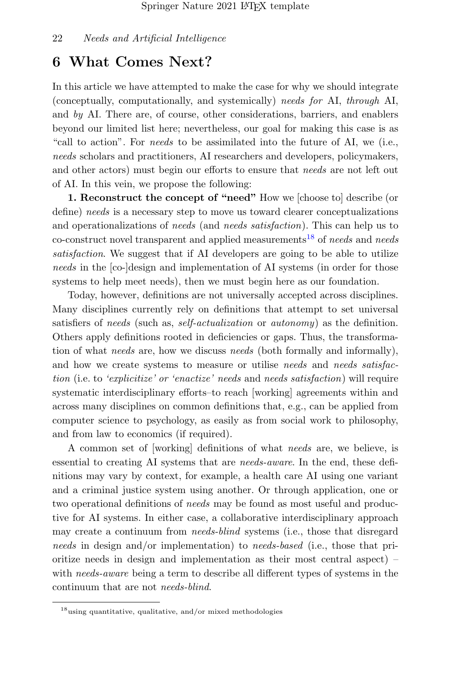## 6 What Comes Next?

In this article we have attempted to make the case for why we should integrate (conceptually, computationally, and systemically) needs for AI, through AI, and by AI. There are, of course, other considerations, barriers, and enablers beyond our limited list here; nevertheless, our goal for making this case is as "call to action". For needs to be assimilated into the future of AI, we (i.e., needs scholars and practitioners, AI researchers and developers, policymakers, and other actors) must begin our efforts to ensure that needs are not left out of AI. In this vein, we propose the following:

1. Reconstruct the concept of "need" How we [choose to] describe (or define) needs is a necessary step to move us toward clearer conceptualizations and operationalizations of needs (and needs satisfaction). This can help us to co-construct novel transparent and applied measurements<sup>[18](#page-22-0)</sup> of needs and needs satisfaction. We suggest that if AI developers are going to be able to utilize needs in the [co-]design and implementation of AI systems (in order for those systems to help meet needs), then we must begin here as our foundation.

Today, however, definitions are not universally accepted across disciplines. Many disciplines currently rely on definitions that attempt to set universal satisfiers of needs (such as, self-actualization or autonomy) as the definition. Others apply definitions rooted in deficiencies or gaps. Thus, the transformation of what *needs* are, how we discuss *needs* (both formally and informally), and how we create systems to measure or utilise *needs* and *needs satisfac*tion (i.e. to 'explicitize' or 'enactize' needs and needs satisfaction) will require systematic interdisciplinary efforts–to reach [working] agreements within and across many disciplines on common definitions that, e.g., can be applied from computer science to psychology, as easily as from social work to philosophy, and from law to economics (if required).

A common set of [working] definitions of what needs are, we believe, is essential to creating AI systems that are needs-aware. In the end, these definitions may vary by context, for example, a health care AI using one variant and a criminal justice system using another. Or through application, one or two operational definitions of *needs* may be found as most useful and productive for AI systems. In either case, a collaborative interdisciplinary approach may create a continuum from *needs-blind* systems (i.e., those that disregard needs in design and/or implementation) to needs-based (i.e., those that prioritize needs in design and implementation as their most central aspect) – with *needs-aware* being a term to describe all different types of systems in the continuum that are not needs-blind.

<span id="page-22-0"></span> $18$ using quantitative, qualitative, and/or mixed methodologies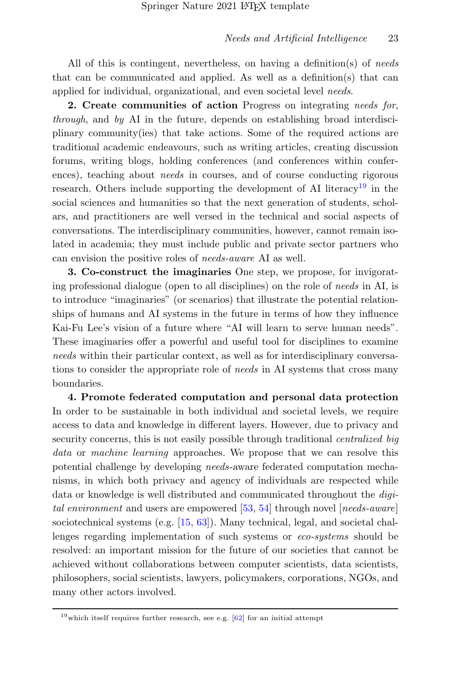All of this is contingent, nevertheless, on having a definition(s) of needs that can be communicated and applied. As well as a definition(s) that can applied for individual, organizational, and even societal level needs.

2. Create communities of action Progress on integrating needs for, through, and by AI in the future, depends on establishing broad interdisciplinary community(ies) that take actions. Some of the required actions are traditional academic endeavours, such as writing articles, creating discussion forums, writing blogs, holding conferences (and conferences within conferences), teaching about *needs* in courses, and of course conducting rigorous research. Others include supporting the development of AI literacy<sup>[19](#page-23-0)</sup> in the social sciences and humanities so that the next generation of students, scholars, and practitioners are well versed in the technical and social aspects of conversations. The interdisciplinary communities, however, cannot remain isolated in academia; they must include public and private sector partners who can envision the positive roles of needs-aware AI as well.

3. Co-construct the imaginaries One step, we propose, for invigorating professional dialogue (open to all disciplines) on the role of needs in AI, is to introduce "imaginaries" (or scenarios) that illustrate the potential relationships of humans and AI systems in the future in terms of how they influence Kai-Fu Lee's vision of a future where "AI will learn to serve human needs". These imaginaries offer a powerful and useful tool for disciplines to examine needs within their particular context, as well as for interdisciplinary conversations to consider the appropriate role of *needs* in AI systems that cross many boundaries.

4. Promote federated computation and personal data protection In order to be sustainable in both individual and societal levels, we require access to data and knowledge in different layers. However, due to privacy and security concerns, this is not easily possible through traditional *centralized big* data or machine learning approaches. We propose that we can resolve this potential challenge by developing needs-aware federated computation mechanisms, in which both privacy and agency of individuals are respected while data or knowledge is well distributed and communicated throughout the digi-tal environment and users are empowered [\[53,](#page-30-5) [54\]](#page-30-6) through novel [needs-aware] sociotechnical systems (e.g. [\[15,](#page-27-11) [63\]](#page-31-3)). Many technical, legal, and societal challenges regarding implementation of such systems or eco-systems should be resolved: an important mission for the future of our societies that cannot be achieved without collaborations between computer scientists, data scientists, philosophers, social scientists, lawyers, policymakers, corporations, NGOs, and many other actors involved.

<span id="page-23-0"></span> $19$  which itself requires further research, see e.g.  $[62]$  for an initial attempt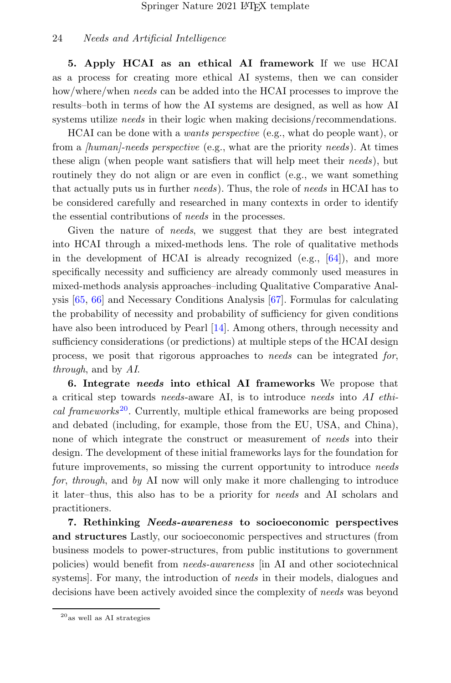5. Apply HCAI as an ethical AI framework If we use HCAI as a process for creating more ethical AI systems, then we can consider how/where/when needs can be added into the HCAI processes to improve the results–both in terms of how the AI systems are designed, as well as how AI systems utilize *needs* in their logic when making decisions/recommendations.

HCAI can be done with a wants perspective (e.g., what do people want), or from a *[human]-needs perspective* (e.g., what are the priority *needs*). At times these align (when people want satisfiers that will help meet their needs), but routinely they do not align or are even in conflict (e.g., we want something that actually puts us in further needs). Thus, the role of needs in HCAI has to be considered carefully and researched in many contexts in order to identify the essential contributions of needs in the processes.

Given the nature of *needs*, we suggest that they are best integrated into HCAI through a mixed-methods lens. The role of qualitative methods in the development of HCAI is already recognized  $(e.g., 64)$ , and more specifically necessity and sufficiency are already commonly used measures in mixed-methods analysis approaches–including Qualitative Comparative Analysis [\[65,](#page-31-6) [66\]](#page-31-7) and Necessary Conditions Analysis [\[67\]](#page-31-8). Formulas for calculating the probability of necessity and probability of sufficiency for given conditions have also been introduced by Pearl [\[14\]](#page-27-3). Among others, through necessity and sufficiency considerations (or predictions) at multiple steps of the HCAI design process, we posit that rigorous approaches to needs can be integrated for, through, and by AI.

6. Integrate needs into ethical AI frameworks We propose that a critical step towards needs-aware AI, is to introduce needs into AI ethi-cal frameworks<sup>[20](#page-24-0)</sup>. Currently, multiple ethical frameworks are being proposed and debated (including, for example, those from the EU, USA, and China), none of which integrate the construct or measurement of needs into their design. The development of these initial frameworks lays for the foundation for future improvements, so missing the current opportunity to introduce needs for, through, and by AI now will only make it more challenging to introduce it later–thus, this also has to be a priority for needs and AI scholars and practitioners.

7. Rethinking Needs-awareness to socioeconomic perspectives and structures Lastly, our socioeconomic perspectives and structures (from business models to power-structures, from public institutions to government policies) would benefit from needs-awareness [in AI and other sociotechnical systems]. For many, the introduction of needs in their models, dialogues and decisions have been actively avoided since the complexity of needs was beyond

<span id="page-24-0"></span> $20$ <sub>as</sub> well as AI strategies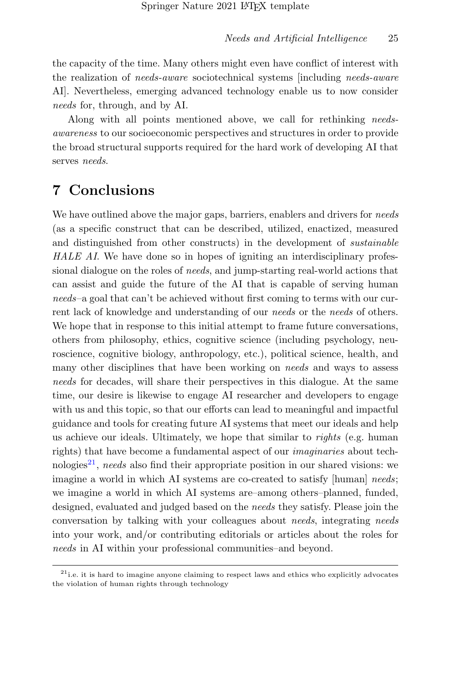the capacity of the time. Many others might even have conflict of interest with the realization of needs-aware sociotechnical systems [including needs-aware AI]. Nevertheless, emerging advanced technology enable us to now consider needs for, through, and by AI.

Along with all points mentioned above, we call for rethinking needsawareness to our socioeconomic perspectives and structures in order to provide the broad structural supports required for the hard work of developing AI that serves *needs*.

## 7 Conclusions

We have outlined above the major gaps, barriers, enablers and drivers for *needs* (as a specific construct that can be described, utilized, enactized, measured and distinguished from other constructs) in the development of *sustainable* HALE AI. We have done so in hopes of igniting an interdisciplinary professional dialogue on the roles of *needs*, and jump-starting real-world actions that can assist and guide the future of the AI that is capable of serving human needs–a goal that can't be achieved without first coming to terms with our current lack of knowledge and understanding of our *needs* or the *needs* of others. We hope that in response to this initial attempt to frame future conversations, others from philosophy, ethics, cognitive science (including psychology, neuroscience, cognitive biology, anthropology, etc.), political science, health, and many other disciplines that have been working on *needs* and ways to assess needs for decades, will share their perspectives in this dialogue. At the same time, our desire is likewise to engage AI researcher and developers to engage with us and this topic, so that our efforts can lead to meaningful and impactful guidance and tools for creating future AI systems that meet our ideals and help us achieve our ideals. Ultimately, we hope that similar to *rights* (e.g. human rights) that have become a fundamental aspect of our imaginaries about tech-nologies<sup>[21](#page-25-0)</sup>, needs also find their appropriate position in our shared visions: we imagine a world in which AI systems are co-created to satisfy [human] needs; we imagine a world in which AI systems are–among others–planned, funded, designed, evaluated and judged based on the needs they satisfy. Please join the conversation by talking with your colleagues about needs, integrating needs into your work, and/or contributing editorials or articles about the roles for needs in AI within your professional communities–and beyond.

<span id="page-25-0"></span><sup>&</sup>lt;sup>21</sup>i.e. it is hard to imagine anyone claiming to respect laws and ethics who explicitly advocates the violation of human rights through technology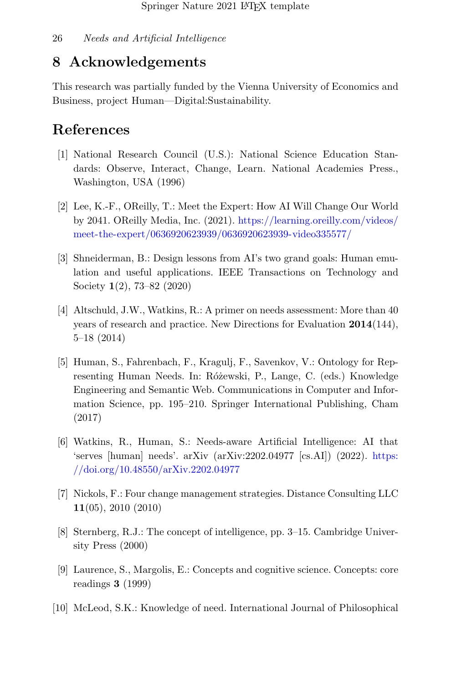## 8 Acknowledgements

This research was partially funded by the Vienna University of Economics and Business, project Human—Digital:Sustainability.

## References

- <span id="page-26-0"></span>[1] National Research Council (U.S.): National Science Education Standards: Observe, Interact, Change, Learn. National Academies Press., Washington, USA (1996)
- <span id="page-26-1"></span>[2] Lee, K.-F., OReilly, T.: Meet the Expert: How AI Will Change Our World by 2041. OReilly Media, Inc. (2021). [https://learning.oreilly.com/videos/](https://learning.oreilly.com/videos/meet-the-expert/0636920623939/0636920623939-video335577/) [meet-the-expert/0636920623939/0636920623939-video335577/](https://learning.oreilly.com/videos/meet-the-expert/0636920623939/0636920623939-video335577/)
- <span id="page-26-2"></span>[3] Shneiderman, B.: Design lessons from AI's two grand goals: Human emulation and useful applications. IEEE Transactions on Technology and Society 1(2), 73–82 (2020)
- <span id="page-26-3"></span>[4] Altschuld, J.W., Watkins, R.: A primer on needs assessment: More than 40 years of research and practice. New Directions for Evaluation 2014(144), 5–18 (2014)
- <span id="page-26-4"></span>[5] Human, S., Fahrenbach, F., Kragulj, F., Savenkov, V.: Ontology for Representing Human Needs. In: Różewski, P., Lange, C. (eds.) Knowledge Engineering and Semantic Web. Communications in Computer and Information Science, pp. 195–210. Springer International Publishing, Cham (2017)
- <span id="page-26-5"></span>[6] Watkins, R., Human, S.: Needs-aware Artificial Intelligence: AI that 'serves [human] needs'. arXiv (arXiv:2202.04977 [cs.AI]) (2022). [https:](https://doi.org/10.48550/arXiv.2202.04977) [//doi.org/10.48550/arXiv.2202.04977](https://doi.org/10.48550/arXiv.2202.04977)
- <span id="page-26-6"></span>[7] Nickols, F.: Four change management strategies. Distance Consulting LLC 11(05), 2010 (2010)
- <span id="page-26-9"></span>[8] Sternberg, R.J.: The concept of intelligence, pp. 3–15. Cambridge University Press (2000)
- <span id="page-26-7"></span>[9] Laurence, S., Margolis, E.: Concepts and cognitive science. Concepts: core readings 3 (1999)
- <span id="page-26-8"></span>[10] McLeod, S.K.: Knowledge of need. International Journal of Philosophical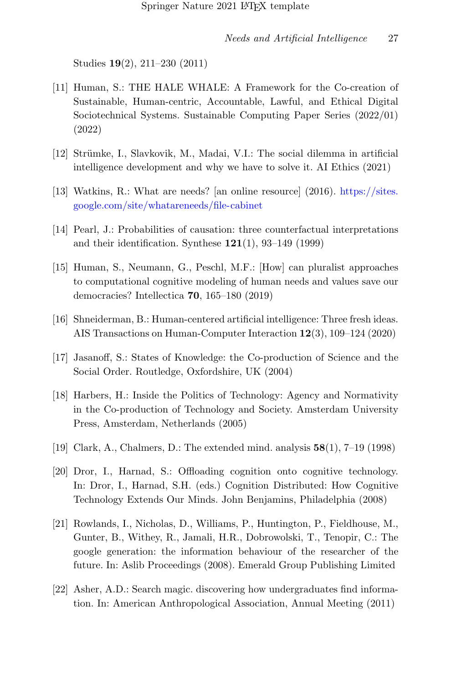Studies 19(2), 211–230 (2011)

- <span id="page-27-1"></span>[11] Human, S.: THE HALE WHALE: A Framework for the Co-creation of Sustainable, Human-centric, Accountable, Lawful, and Ethical Digital Sociotechnical Systems. Sustainable Computing Paper Series (2022/01) (2022)
- <span id="page-27-0"></span>[12] Strümke, I., Slavkovik, M., Madai, V.I.: The social dilemma in artificial intelligence development and why we have to solve it. AI Ethics (2021)
- <span id="page-27-2"></span>[13] Watkins, R.: What are needs? [an online resource] (2016). [https://sites.](https://sites.google.com/site/whatareneeds/file-cabinet) [google.com/site/whatareneeds/file-cabinet](https://sites.google.com/site/whatareneeds/file-cabinet)
- <span id="page-27-3"></span>[14] Pearl, J.: Probabilities of causation: three counterfactual interpretations and their identification. Synthese  $121(1)$ , 93-149 (1999)
- <span id="page-27-11"></span>[15] Human, S., Neumann, G., Peschl, M.F.: [How] can pluralist approaches to computational cognitive modeling of human needs and values save our democracies? Intellectica 70, 165–180 (2019)
- <span id="page-27-4"></span>[16] Shneiderman, B.: Human-centered artificial intelligence: Three fresh ideas. AIS Transactions on Human-Computer Interaction 12(3), 109–124 (2020)
- <span id="page-27-5"></span>[17] Jasanoff, S.: States of Knowledge: the Co-production of Science and the Social Order. Routledge, Oxfordshire, UK (2004)
- <span id="page-27-6"></span>[18] Harbers, H.: Inside the Politics of Technology: Agency and Normativity in the Co-production of Technology and Society. Amsterdam University Press, Amsterdam, Netherlands (2005)
- <span id="page-27-7"></span>[19] Clark, A., Chalmers, D.: The extended mind. analysis 58(1), 7–19 (1998)
- <span id="page-27-8"></span>[20] Dror, I., Harnad, S.: Offloading cognition onto cognitive technology. In: Dror, I., Harnad, S.H. (eds.) Cognition Distributed: How Cognitive Technology Extends Our Minds. John Benjamins, Philadelphia (2008)
- <span id="page-27-9"></span>[21] Rowlands, I., Nicholas, D., Williams, P., Huntington, P., Fieldhouse, M., Gunter, B., Withey, R., Jamali, H.R., Dobrowolski, T., Tenopir, C.: The google generation: the information behaviour of the researcher of the future. In: Aslib Proceedings (2008). Emerald Group Publishing Limited
- <span id="page-27-10"></span>[22] Asher, A.D.: Search magic. discovering how undergraduates find information. In: American Anthropological Association, Annual Meeting (2011)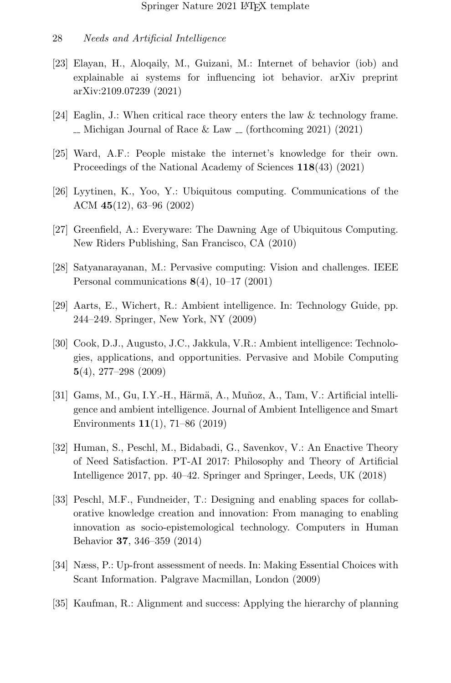- <span id="page-28-0"></span>[23] Elayan, H., Aloqaily, M., Guizani, M.: Internet of behavior (iob) and explainable ai systems for influencing iot behavior. arXiv preprint arXiv:2109.07239 (2021)
- <span id="page-28-1"></span>[24] Eaglin, J.: When critical race theory enters the law & technology frame.  $\sim$  Michigan Journal of Race & Law  $\sim$  (forthcoming 2021) (2021)
- <span id="page-28-2"></span>[25] Ward, A.F.: People mistake the internet's knowledge for their own. Proceedings of the National Academy of Sciences 118(43) (2021)
- <span id="page-28-3"></span>[26] Lyytinen, K., Yoo, Y.: Ubiquitous computing. Communications of the ACM 45(12), 63–96 (2002)
- <span id="page-28-4"></span>[27] Greenfield, A.: Everyware: The Dawning Age of Ubiquitous Computing. New Riders Publishing, San Francisco, CA (2010)
- <span id="page-28-5"></span>[28] Satyanarayanan, M.: Pervasive computing: Vision and challenges. IEEE Personal communications 8(4), 10–17 (2001)
- <span id="page-28-6"></span>[29] Aarts, E., Wichert, R.: Ambient intelligence. In: Technology Guide, pp. 244–249. Springer, New York, NY (2009)
- [30] Cook, D.J., Augusto, J.C., Jakkula, V.R.: Ambient intelligence: Technologies, applications, and opportunities. Pervasive and Mobile Computing 5(4), 277–298 (2009)
- <span id="page-28-7"></span> $[31]$  Gams, M., Gu, I.Y.-H., Härmä, A., Muñoz, A., Tam, V.: Artificial intelligence and ambient intelligence. Journal of Ambient Intelligence and Smart Environments 11(1), 71–86 (2019)
- <span id="page-28-8"></span>[32] Human, S., Peschl, M., Bidabadi, G., Savenkov, V.: An Enactive Theory of Need Satisfaction. PT-AI 2017: Philosophy and Theory of Artificial Intelligence 2017, pp. 40–42. Springer and Springer, Leeds, UK (2018)
- <span id="page-28-9"></span>[33] Peschl, M.F., Fundneider, T.: Designing and enabling spaces for collaborative knowledge creation and innovation: From managing to enabling innovation as socio-epistemological technology. Computers in Human Behavior 37, 346–359 (2014)
- <span id="page-28-10"></span>[34] Næss, P.: Up-front assessment of needs. In: Making Essential Choices with Scant Information. Palgrave Macmillan, London (2009)
- <span id="page-28-11"></span>[35] Kaufman, R.: Alignment and success: Applying the hierarchy of planning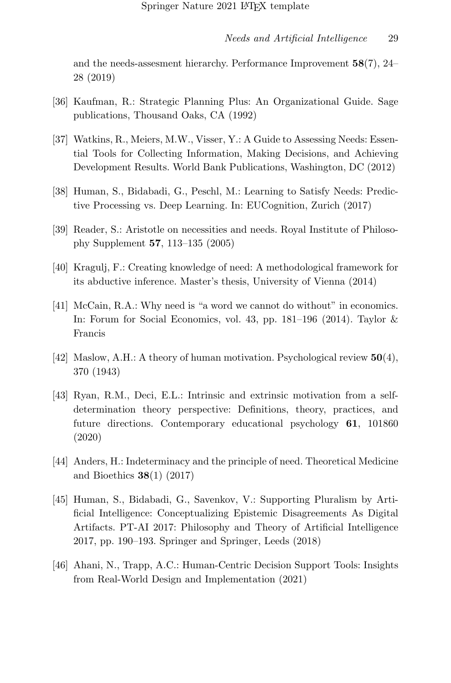and the needs-assesment hierarchy. Performance Improvement  $58(7)$ ,  $24-$ 28 (2019)

- <span id="page-29-0"></span>[36] Kaufman, R.: Strategic Planning Plus: An Organizational Guide. Sage publications, Thousand Oaks, CA (1992)
- <span id="page-29-1"></span>[37] Watkins, R., Meiers, M.W., Visser, Y.: A Guide to Assessing Needs: Essential Tools for Collecting Information, Making Decisions, and Achieving Development Results. World Bank Publications, Washington, DC (2012)
- <span id="page-29-2"></span>[38] Human, S., Bidabadi, G., Peschl, M.: Learning to Satisfy Needs: Predictive Processing vs. Deep Learning. In: EUCognition, Zurich (2017)
- <span id="page-29-3"></span>[39] Reader, S.: Aristotle on necessities and needs. Royal Institute of Philosophy Supplement 57, 113–135 (2005)
- <span id="page-29-4"></span>[40] Kragulj, F.: Creating knowledge of need: A methodological framework for its abductive inference. Master's thesis, University of Vienna (2014)
- <span id="page-29-5"></span>[41] McCain, R.A.: Why need is "a word we cannot do without" in economics. In: Forum for Social Economics, vol. 43, pp. 181–196 (2014). Taylor & Francis
- <span id="page-29-6"></span>[42] Maslow, A.H.: A theory of human motivation. Psychological review  $50(4)$ , 370 (1943)
- <span id="page-29-7"></span>[43] Ryan, R.M., Deci, E.L.: Intrinsic and extrinsic motivation from a selfdetermination theory perspective: Definitions, theory, practices, and future directions. Contemporary educational psychology 61, 101860 (2020)
- <span id="page-29-8"></span>[44] Anders, H.: Indeterminacy and the principle of need. Theoretical Medicine and Bioethics 38(1) (2017)
- <span id="page-29-9"></span>[45] Human, S., Bidabadi, G., Savenkov, V.: Supporting Pluralism by Artificial Intelligence: Conceptualizing Epistemic Disagreements As Digital Artifacts. PT-AI 2017: Philosophy and Theory of Artificial Intelligence 2017, pp. 190–193. Springer and Springer, Leeds (2018)
- <span id="page-29-10"></span>[46] Ahani, N., Trapp, A.C.: Human-Centric Decision Support Tools: Insights from Real-World Design and Implementation (2021)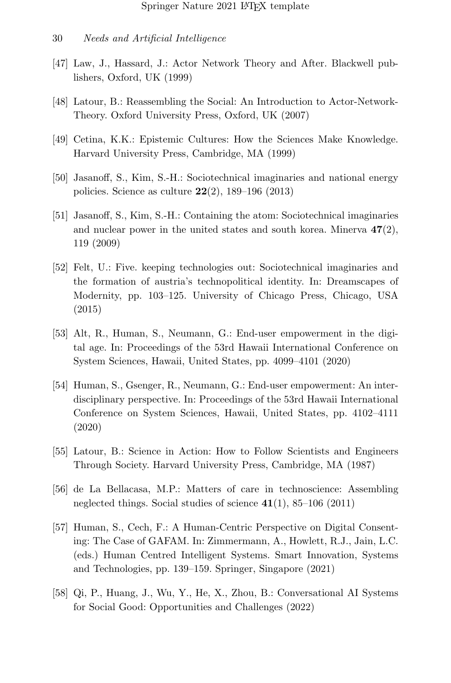- 30 Needs and Artificial Intelligence
- <span id="page-30-0"></span>[47] Law, J., Hassard, J.: Actor Network Theory and After. Blackwell publishers, Oxford, UK (1999)
- <span id="page-30-1"></span>[48] Latour, B.: Reassembling the Social: An Introduction to Actor-Network-Theory. Oxford University Press, Oxford, UK (2007)
- <span id="page-30-2"></span>[49] Cetina, K.K.: Epistemic Cultures: How the Sciences Make Knowledge. Harvard University Press, Cambridge, MA (1999)
- <span id="page-30-3"></span>[50] Jasanoff, S., Kim, S.-H.: Sociotechnical imaginaries and national energy policies. Science as culture  $22(2)$ , 189–196 (2013)
- [51] Jasanoff, S., Kim, S.-H.: Containing the atom: Sociotechnical imaginaries and nuclear power in the united states and south korea. Minerva  $47(2)$ , 119 (2009)
- <span id="page-30-4"></span>[52] Felt, U.: Five. keeping technologies out: Sociotechnical imaginaries and the formation of austria's technopolitical identity. In: Dreamscapes of Modernity, pp. 103–125. University of Chicago Press, Chicago, USA (2015)
- <span id="page-30-5"></span>[53] Alt, R., Human, S., Neumann, G.: End-user empowerment in the digital age. In: Proceedings of the 53rd Hawaii International Conference on System Sciences, Hawaii, United States, pp. 4099–4101 (2020)
- <span id="page-30-6"></span>[54] Human, S., Gsenger, R., Neumann, G.: End-user empowerment: An interdisciplinary perspective. In: Proceedings of the 53rd Hawaii International Conference on System Sciences, Hawaii, United States, pp. 4102–4111 (2020)
- <span id="page-30-7"></span>[55] Latour, B.: Science in Action: How to Follow Scientists and Engineers Through Society. Harvard University Press, Cambridge, MA (1987)
- <span id="page-30-8"></span>[56] de La Bellacasa, M.P.: Matters of care in technoscience: Assembling neglected things. Social studies of science  $41(1)$ , 85–106 (2011)
- <span id="page-30-9"></span>[57] Human, S., Cech, F.: A Human-Centric Perspective on Digital Consenting: The Case of GAFAM. In: Zimmermann, A., Howlett, R.J., Jain, L.C. (eds.) Human Centred Intelligent Systems. Smart Innovation, Systems and Technologies, pp. 139–159. Springer, Singapore (2021)
- <span id="page-30-10"></span>[58] Qi, P., Huang, J., Wu, Y., He, X., Zhou, B.: Conversational AI Systems for Social Good: Opportunities and Challenges (2022)